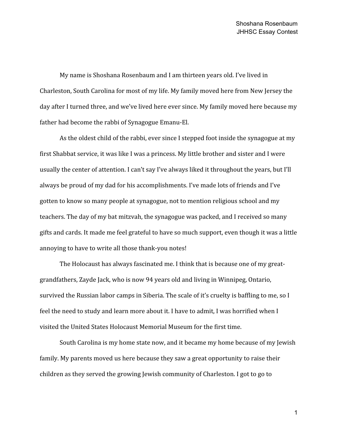My name is Shoshana Rosenbaum and I am thirteen years old. I've lived in Charleston, South Carolina for most of my life. My family moved here from New Jersey the day after I turned three, and we've lived here ever since. My family moved here because my father had become the rabbi of Synagogue Emanu-El.

As the oldest child of the rabbi, ever since I stepped foot inside the synagogue at my first Shabbat service, it was like I was a princess. My little brother and sister and I were usually the center of attention. I can't say I've always liked it throughout the years, but I'll always be proud of my dad for his accomplishments. I've made lots of friends and I've gotten to know so many people at synagogue, not to mention religious school and my teachers. The day of my bat mitzvah, the synagogue was packed, and I received so many gifts and cards. It made me feel grateful to have so much support, even though it was a little annoying to have to write all those thank-you notes!

The Holocaust has always fascinated me. I think that is because one of my greatgrandfathers, Zayde Jack, who is now 94 years old and living in Winnipeg, Ontario, survived the Russian labor camps in Siberia. The scale of it's cruelty is baffling to me, so I feel the need to study and learn more about it. I have to admit, I was horrified when I visited the United States Holocaust Memorial Museum for the first time.

South Carolina is my home state now, and it became my home because of my Jewish family. My parents moved us here because they saw a great opportunity to raise their children as they served the growing Jewish community of Charleston. I got to go to

1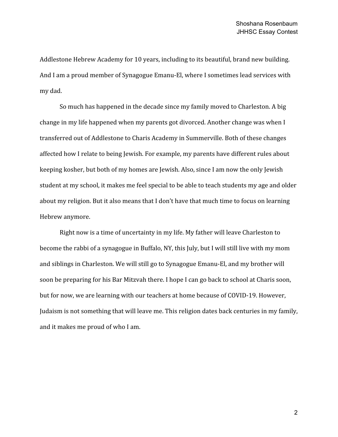Addlestone Hebrew Academy for 10 years, including to its beautiful, brand new building. And I am a proud member of Synagogue Emanu-El, where I sometimes lead services with my dad.

So much has happened in the decade since my family moved to Charleston. A big change in my life happened when my parents got divorced. Another change was when I transferred out of Addlestone to Charis Academy in Summerville. Both of these changes affected how I relate to being Jewish. For example, my parents have different rules about keeping kosher, but both of my homes are Jewish. Also, since I am now the only Jewish student at my school, it makes me feel special to be able to teach students my age and older about my religion. But it also means that I don't have that much time to focus on learning Hebrew anymore.

Right now is a time of uncertainty in my life. My father will leave Charleston to become the rabbi of a synagogue in Buffalo, NY, this July, but I will still live with my mom and siblings in Charleston. We will still go to Synagogue Emanu-El, and my brother will soon be preparing for his Bar Mitzvah there. I hope I can go back to school at Charis soon, but for now, we are learning with our teachers at home because of COVID-19. However, Judaism is not something that will leave me. This religion dates back centuries in my family, and it makes me proud of who I am.